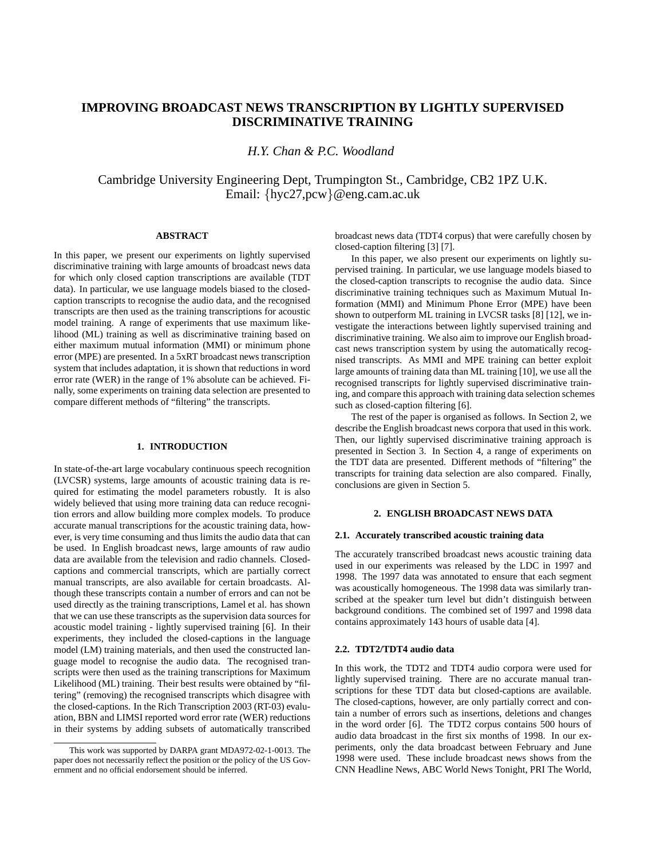# **IMPROVING BROADCAST NEWS TRANSCRIPTION BY LIGHTLY SUPERVISED DISCRIMINATIVE TRAINING**

*H.Y. Chan & P.C. Woodland*

Cambridge University Engineering Dept, Trumpington St., Cambridge, CB2 1PZ U.K. Email: {hyc27,pcw}@eng.cam.ac.uk

# **ABSTRACT**

In this paper, we present our experiments on lightly supervised discriminative training with large amounts of broadcast news data for which only closed caption transcriptions are available (TDT data). In particular, we use language models biased to the closedcaption transcripts to recognise the audio data, and the recognised transcripts are then used as the training transcriptions for acoustic model training. A range of experiments that use maximum likelihood (ML) training as well as discriminative training based on either maximum mutual information (MMI) or minimum phone error (MPE) are presented. In a 5xRT broadcast news transcription system that includes adaptation, it is shown that reductions in word error rate (WER) in the range of 1% absolute can be achieved. Finally, some experiments on training data selection are presented to compare different methods of "filtering" the transcripts.

# **1. INTRODUCTION**

In state-of-the-art large vocabulary continuous speech recognition (LVCSR) systems, large amounts of acoustic training data is required for estimating the model parameters robustly. It is also widely believed that using more training data can reduce recognition errors and allow building more complex models. To produce accurate manual transcriptions for the acoustic training data, however, is very time consuming and thus limits the audio data that can be used. In English broadcast news, large amounts of raw audio data are available from the television and radio channels. Closedcaptions and commercial transcripts, which are partially correct manual transcripts, are also available for certain broadcasts. Although these transcripts contain a number of errors and can not be used directly as the training transcriptions, Lamel et al. has shown that we can use these transcripts as the supervision data sources for acoustic model training - lightly supervised training [6]. In their experiments, they included the closed-captions in the language model (LM) training materials, and then used the constructed language model to recognise the audio data. The recognised transcripts were then used as the training transcriptions for Maximum Likelihood (ML) training. Their best results were obtained by "filtering" (removing) the recognised transcripts which disagree with the closed-captions. In the Rich Transcription 2003 (RT-03) evaluation, BBN and LIMSI reported word error rate (WER) reductions in their systems by adding subsets of automatically transcribed

broadcast news data (TDT4 corpus) that were carefully chosen by closed-caption filtering [3] [7].

In this paper, we also present our experiments on lightly supervised training. In particular, we use language models biased to the closed-caption transcripts to recognise the audio data. Since discriminative training techniques such as Maximum Mutual Information (MMI) and Minimum Phone Error (MPE) have been shown to outperform ML training in LVCSR tasks [8] [12], we investigate the interactions between lightly supervised training and discriminative training. We also aim to improve our English broadcast news transcription system by using the automatically recognised transcripts. As MMI and MPE training can better exploit large amounts of training data than ML training [10], we use all the recognised transcripts for lightly supervised discriminative training, and compare this approach with training data selection schemes such as closed-caption filtering [6].

The rest of the paper is organised as follows. In Section 2, we describe the English broadcast news corpora that used in this work. Then, our lightly supervised discriminative training approach is presented in Section 3. In Section 4, a range of experiments on the TDT data are presented. Different methods of "filtering" the transcripts for training data selection are also compared. Finally, conclusions are given in Section 5.

# **2. ENGLISH BROADCAST NEWS DATA**

### **2.1. Accurately transcribed acoustic training data**

The accurately transcribed broadcast news acoustic training data used in our experiments was released by the LDC in 1997 and 1998. The 1997 data was annotated to ensure that each segment was acoustically homogeneous. The 1998 data was similarly transcribed at the speaker turn level but didn't distinguish between background conditions. The combined set of 1997 and 1998 data contains approximately 143 hours of usable data [4].

# **2.2. TDT2/TDT4 audio data**

In this work, the TDT2 and TDT4 audio corpora were used for lightly supervised training. There are no accurate manual transcriptions for these TDT data but closed-captions are available. The closed-captions, however, are only partially correct and contain a number of errors such as insertions, deletions and changes in the word order [6]. The TDT2 corpus contains 500 hours of audio data broadcast in the first six months of 1998. In our experiments, only the data broadcast between February and June 1998 were used. These include broadcast news shows from the CNN Headline News, ABC World News Tonight, PRI The World,

This work was supported by DARPA grant MDA972-02-1-0013. The paper does not necessarily reflect the position or the policy of the US Government and no official endorsement should be inferred.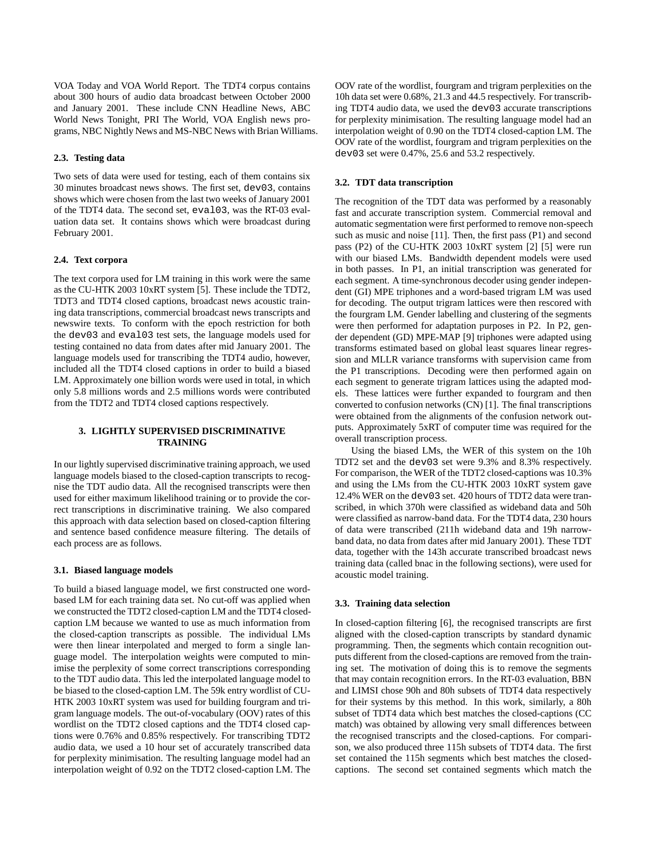VOA Today and VOA World Report. The TDT4 corpus contains about 300 hours of audio data broadcast between October 2000 and January 2001. These include CNN Headline News, ABC World News Tonight, PRI The World, VOA English news programs, NBC Nightly News and MS-NBC News with Brian Williams.

## **2.3. Testing data**

Two sets of data were used for testing, each of them contains six 30 minutes broadcast news shows. The first set, dev03, contains shows which were chosen from the last two weeks of January 2001 of the TDT4 data. The second set, eval03, was the RT-03 evaluation data set. It contains shows which were broadcast during February 2001.

# **2.4. Text corpora**

The text corpora used for LM training in this work were the same as the CU-HTK 2003 10xRT system [5]. These include the TDT2, TDT3 and TDT4 closed captions, broadcast news acoustic training data transcriptions, commercial broadcast news transcripts and newswire texts. To conform with the epoch restriction for both the dev03 and eval03 test sets, the language models used for testing contained no data from dates after mid January 2001. The language models used for transcribing the TDT4 audio, however, included all the TDT4 closed captions in order to build a biased LM. Approximately one billion words were used in total, in which only 5.8 millions words and 2.5 millions words were contributed from the TDT2 and TDT4 closed captions respectively.

# **3. LIGHTLY SUPERVISED DISCRIMINATIVE TRAINING**

In our lightly supervised discriminative training approach, we used language models biased to the closed-caption transcripts to recognise the TDT audio data. All the recognised transcripts were then used for either maximum likelihood training or to provide the correct transcriptions in discriminative training. We also compared this approach with data selection based on closed-caption filtering and sentence based confidence measure filtering. The details of each process are as follows.

#### **3.1. Biased language models**

To build a biased language model, we first constructed one wordbased LM for each training data set. No cut-off was applied when we constructed the TDT2 closed-caption LM and the TDT4 closedcaption LM because we wanted to use as much information from the closed-caption transcripts as possible. The individual LMs were then linear interpolated and merged to form a single language model. The interpolation weights were computed to minimise the perplexity of some correct transcriptions corresponding to the TDT audio data. This led the interpolated language model to be biased to the closed-caption LM. The 59k entry wordlist of CU-HTK 2003 10xRT system was used for building fourgram and trigram language models. The out-of-vocabulary (OOV) rates of this wordlist on the TDT2 closed captions and the TDT4 closed captions were 0.76% and 0.85% respectively. For transcribing TDT2 audio data, we used a 10 hour set of accurately transcribed data for perplexity minimisation. The resulting language model had an interpolation weight of 0.92 on the TDT2 closed-caption LM. The

OOV rate of the wordlist, fourgram and trigram perplexities on the 10h data set were 0.68%, 21.3 and 44.5 respectively. For transcribing TDT4 audio data, we used the dev03 accurate transcriptions for perplexity minimisation. The resulting language model had an interpolation weight of 0.90 on the TDT4 closed-caption LM. The OOV rate of the wordlist, fourgram and trigram perplexities on the dev03 set were 0.47%, 25.6 and 53.2 respectively.

#### **3.2. TDT data transcription**

The recognition of the TDT data was performed by a reasonably fast and accurate transcription system. Commercial removal and automatic segmentation were first performed to remove non-speech such as music and noise [11]. Then, the first pass (P1) and second pass (P2) of the CU-HTK 2003 10xRT system [2] [5] were run with our biased LMs. Bandwidth dependent models were used in both passes. In P1, an initial transcription was generated for each segment. A time-synchronous decoder using gender independent (GI) MPE triphones and a word-based trigram LM was used for decoding. The output trigram lattices were then rescored with the fourgram LM. Gender labelling and clustering of the segments were then performed for adaptation purposes in P2. In P2, gender dependent (GD) MPE-MAP [9] triphones were adapted using transforms estimated based on global least squares linear regression and MLLR variance transforms with supervision came from the P1 transcriptions. Decoding were then performed again on each segment to generate trigram lattices using the adapted models. These lattices were further expanded to fourgram and then converted to confusion networks (CN) [1]. The final transcriptions were obtained from the alignments of the confusion network outputs. Approximately 5xRT of computer time was required for the overall transcription process.

Using the biased LMs, the WER of this system on the 10h TDT2 set and the dev03 set were 9.3% and 8.3% respectively. For comparison, the WER of the TDT2 closed-captions was 10.3% and using the LMs from the CU-HTK 2003 10xRT system gave 12.4% WER on the dev03 set. 420 hours of TDT2 data were transcribed, in which 370h were classified as wideband data and 50h were classified as narrow-band data. For the TDT4 data, 230 hours of data were transcribed (211h wideband data and 19h narrowband data, no data from dates after mid January 2001). These TDT data, together with the 143h accurate transcribed broadcast news training data (called bnac in the following sections), were used for acoustic model training.

#### **3.3. Training data selection**

In closed-caption filtering [6], the recognised transcripts are first aligned with the closed-caption transcripts by standard dynamic programming. Then, the segments which contain recognition outputs different from the closed-captions are removed from the training set. The motivation of doing this is to remove the segments that may contain recognition errors. In the RT-03 evaluation, BBN and LIMSI chose 90h and 80h subsets of TDT4 data respectively for their systems by this method. In this work, similarly, a 80h subset of TDT4 data which best matches the closed-captions (CC match) was obtained by allowing very small differences between the recognised transcripts and the closed-captions. For comparison, we also produced three 115h subsets of TDT4 data. The first set contained the 115h segments which best matches the closedcaptions. The second set contained segments which match the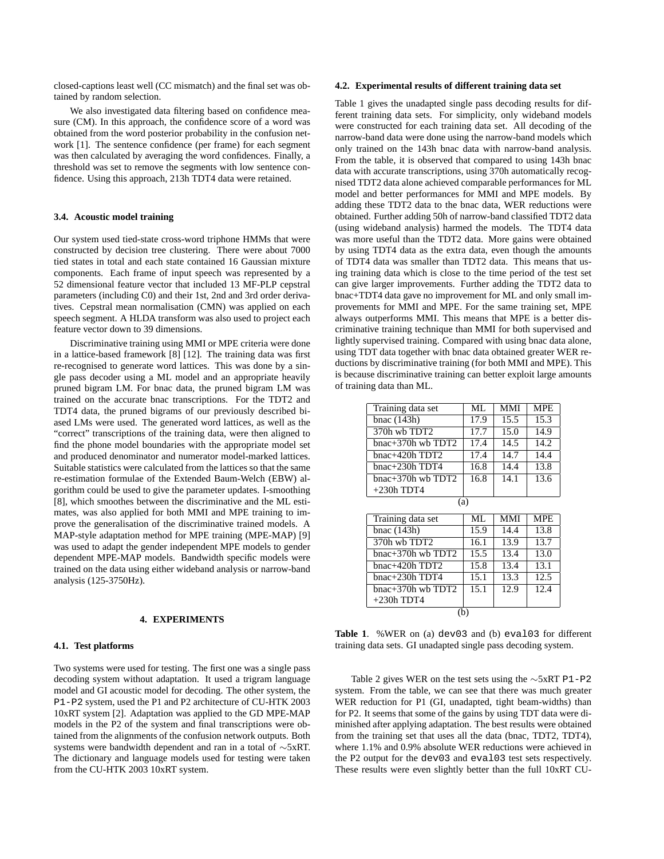closed-captions least well (CC mismatch) and the final set was obtained by random selection.

We also investigated data filtering based on confidence measure (CM). In this approach, the confidence score of a word was obtained from the word posterior probability in the confusion network [1]. The sentence confidence (per frame) for each segment was then calculated by averaging the word confidences. Finally, a threshold was set to remove the segments with low sentence confidence. Using this approach, 213h TDT4 data were retained.

# **3.4. Acoustic model training**

Our system used tied-state cross-word triphone HMMs that were constructed by decision tree clustering. There were about 7000 tied states in total and each state contained 16 Gaussian mixture components. Each frame of input speech was represented by a 52 dimensional feature vector that included 13 MF-PLP cepstral parameters (including C0) and their 1st, 2nd and 3rd order derivatives. Cepstral mean normalisation (CMN) was applied on each speech segment. A HLDA transform was also used to project each feature vector down to 39 dimensions.

Discriminative training using MMI or MPE criteria were done in a lattice-based framework [8] [12]. The training data was first re-recognised to generate word lattices. This was done by a single pass decoder using a ML model and an appropriate heavily pruned bigram LM. For bnac data, the pruned bigram LM was trained on the accurate bnac transcriptions. For the TDT2 and TDT4 data, the pruned bigrams of our previously described biased LMs were used. The generated word lattices, as well as the "correct" transcriptions of the training data, were then aligned to find the phone model boundaries with the appropriate model set and produced denominator and numerator model-marked lattices. Suitable statistics were calculated from the lattices so that the same re-estimation formulae of the Extended Baum-Welch (EBW) algorithm could be used to give the parameter updates. I-smoothing [8], which smoothes between the discriminative and the ML estimates, was also applied for both MMI and MPE training to improve the generalisation of the discriminative trained models. A MAP-style adaptation method for MPE training (MPE-MAP) [9] was used to adapt the gender independent MPE models to gender dependent MPE-MAP models. Bandwidth specific models were trained on the data using either wideband analysis or narrow-band analysis (125-3750Hz).

# **4. EXPERIMENTS**

# **4.1. Test platforms**

Two systems were used for testing. The first one was a single pass decoding system without adaptation. It used a trigram language model and GI acoustic model for decoding. The other system, the P1-P2 system, used the P1 and P2 architecture of CU-HTK 2003 10xRT system [2]. Adaptation was applied to the GD MPE-MAP models in the P2 of the system and final transcriptions were obtained from the alignments of the confusion network outputs. Both systems were bandwidth dependent and ran in a total of ∼5xRT. The dictionary and language models used for testing were taken from the CU-HTK 2003 10xRT system.

#### **4.2. Experimental results of different training data set**

Table 1 gives the unadapted single pass decoding results for different training data sets. For simplicity, only wideband models were constructed for each training data set. All decoding of the narrow-band data were done using the narrow-band models which only trained on the 143h bnac data with narrow-band analysis. From the table, it is observed that compared to using 143h bnac data with accurate transcriptions, using 370h automatically recognised TDT2 data alone achieved comparable performances for ML model and better performances for MMI and MPE models. By adding these TDT2 data to the bnac data, WER reductions were obtained. Further adding 50h of narrow-band classified TDT2 data (using wideband analysis) harmed the models. The TDT4 data was more useful than the TDT2 data. More gains were obtained by using TDT4 data as the extra data, even though the amounts of TDT4 data was smaller than TDT2 data. This means that using training data which is close to the time period of the test set can give larger improvements. Further adding the TDT2 data to bnac+TDT4 data gave no improvement for ML and only small improvements for MMI and MPE. For the same training set, MPE always outperforms MMI. This means that MPE is a better discriminative training technique than MMI for both supervised and lightly supervised training. Compared with using bnac data alone, using TDT data together with bnac data obtained greater WER reductions by discriminative training (for both MMI and MPE). This is because discriminative training can better exploit large amounts of training data than ML.

| Training data set           | ML   | MMI        | <b>MPE</b> |  |  |
|-----------------------------|------|------------|------------|--|--|
| bnac $(143h)$               | 17.9 | 15.5       | 15.3       |  |  |
| 370h wb TDT2                | 17.7 | 15.0       | 14.9       |  |  |
| $bnac+370h$ wb TDT2         | 17.4 | 14.5       | 14.2       |  |  |
| bnac+420h $TD\overline{T2}$ | 17.4 | 14.7       | 14.4       |  |  |
| $b$ nac $+230h$ TDT4        | 16.8 | 14.4       | 13.8       |  |  |
| $b$ nac $+370$ h wb TDT2    | 16.8 | 14.1       | 13.6       |  |  |
| $+230h$ TDT4                |      |            |            |  |  |
| (a)                         |      |            |            |  |  |
| Training data set           | ML   | <b>MMI</b> | <b>MPE</b> |  |  |
| bnac $(143h)$               | 15.9 | 14.4       | 13.8       |  |  |
| 370h wh TDT2                | 16.1 | 13.9       | 13.7       |  |  |
| bnac+370h wb TDT2           | 15.5 | 13.4       | 13.0       |  |  |
| bnac+420h TDT2              | 15.8 | 13.4       | 13.1       |  |  |
| bnac+230h TDT4              | 15.1 | 13.3       | 12.5       |  |  |
| bnac+370h wb TDT2           | 15.1 | 12.9       | 12.4       |  |  |
| $+230h$ TDT4                |      |            |            |  |  |

**Table 1**. %WER on (a) dev03 and (b) eval03 for different training data sets. GI unadapted single pass decoding system.

(b)

Table 2 gives WER on the test sets using the ∼5xRT P1-P2 system. From the table, we can see that there was much greater WER reduction for P1 (GI, unadapted, tight beam-widths) than for P2. It seems that some of the gains by using TDT data were diminished after applying adaptation. The best results were obtained from the training set that uses all the data (bnac, TDT2, TDT4), where 1.1% and 0.9% absolute WER reductions were achieved in the P2 output for the dev03 and eval03 test sets respectively. These results were even slightly better than the full 10xRT CU-